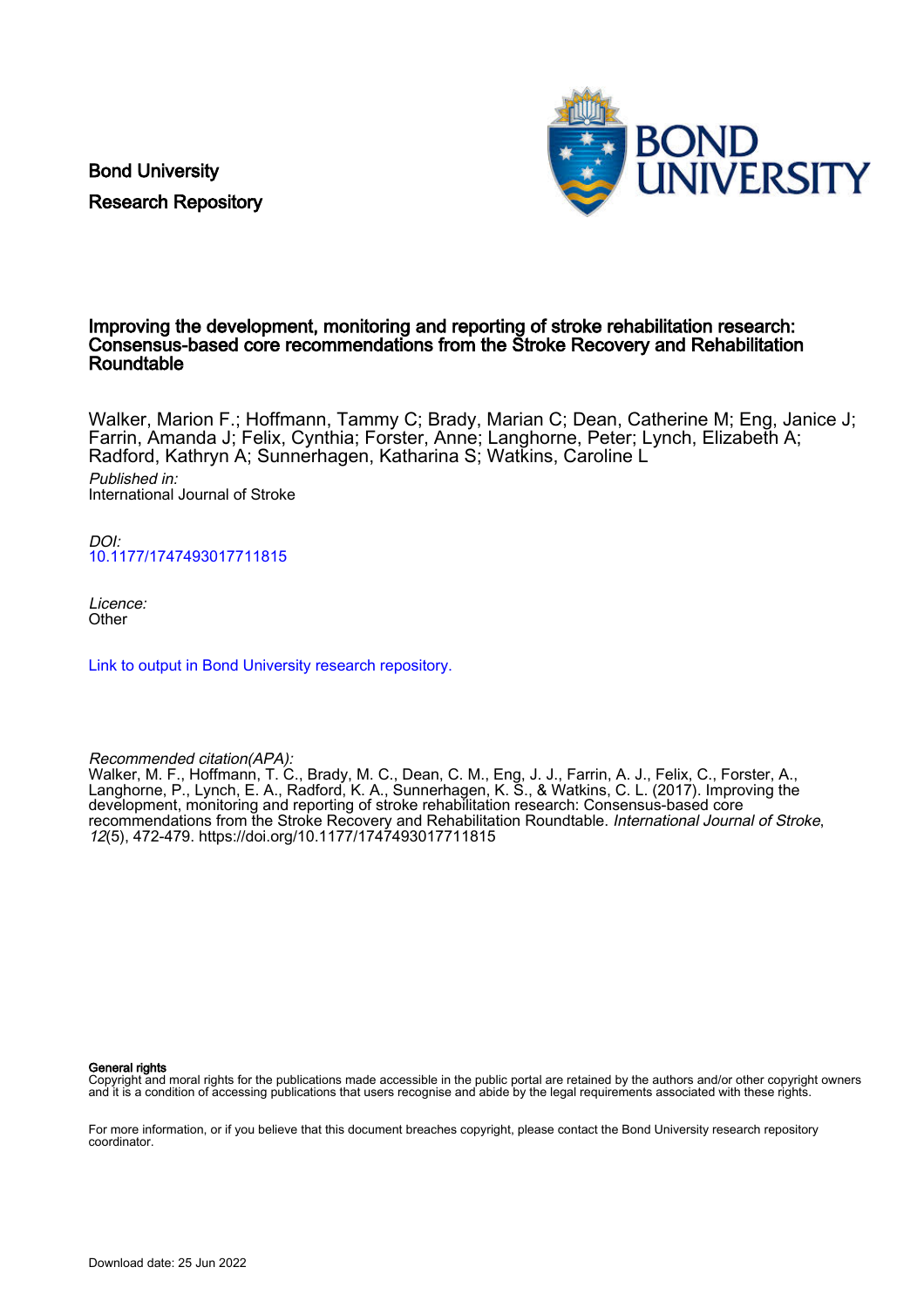Bond University Research Repository



#### Improving the development, monitoring and reporting of stroke rehabilitation research: Consensus-based core recommendations from the Stroke Recovery and Rehabilitation Roundtable

Walker, Marion F.; Hoffmann, Tammy C; Brady, Marian C; Dean, Catherine M; Eng, Janice J; Farrin, Amanda J; Felix, Cynthia; Forster, Anne; Langhorne, Peter; Lynch, Elizabeth A; Radford, Kathryn A; Sunnerhagen, Katharina S; Watkins, Caroline L

Published in: International Journal of Stroke

DOI: [10.1177/1747493017711815](https://doi.org/10.1177/1747493017711815)

Licence: **Other** 

[Link to output in Bond University research repository.](https://research.bond.edu.au/en/publications/039b72f2-d234-47d5-afe4-13f1b240ebd9)

Recommended citation(APA):

Walker, M. F., Hoffmann, T. C., Brady, M. C., Dean, C. M., Eng, J. J., Farrin, A. J., Felix, C., Forster, A., Langhorne, P., Lynch, E. A., Radford, K. A., Sunnerhagen, K. S., & Watkins, C. L. (2017). Improving the development, monitoring and reporting of stroke rehabilitation research: Consensus-based core recommendations from the Stroke Recovery and Rehabilitation Roundtable. International Journal of Stroke, 12(5), 472-479.<https://doi.org/10.1177/1747493017711815>

#### General rights

Copyright and moral rights for the publications made accessible in the public portal are retained by the authors and/or other copyright owners and it is a condition of accessing publications that users recognise and abide by the legal requirements associated with these rights.

For more information, or if you believe that this document breaches copyright, please contact the Bond University research repository coordinator.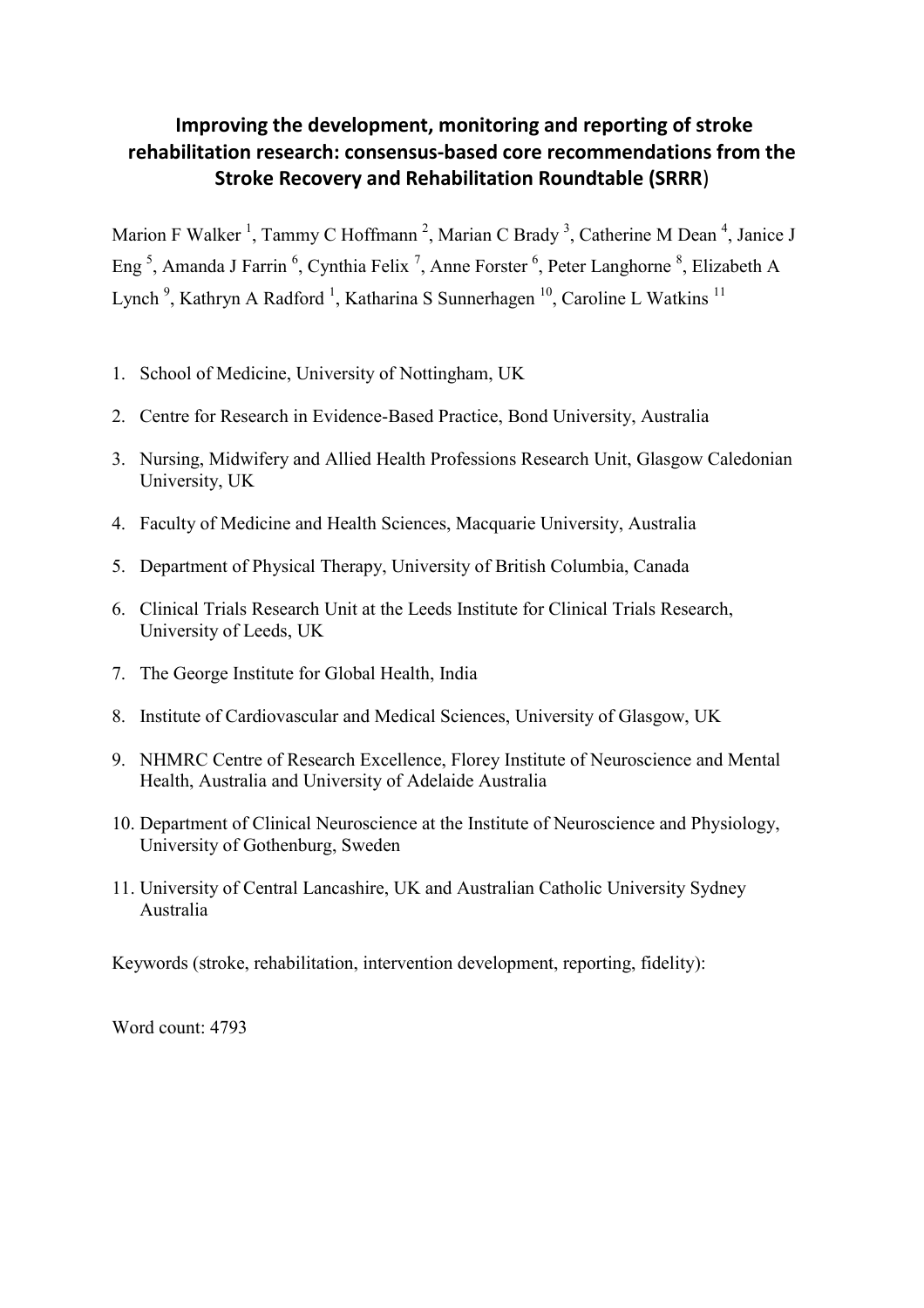# **Improving the development, monitoring and reporting of stroke rehabilitation research: consensus-based core recommendations from the Stroke Recovery and Rehabilitation Roundtable (SRRR**)

Marion F Walker<sup>1</sup>, Tammy C Hoffmann<sup>2</sup>, Marian C Brady<sup>3</sup>, Catherine M Dean<sup>4</sup>, Janice J Eng<sup>5</sup>, Amanda J Farrin<sup>6</sup>, Cynthia Felix<sup>7</sup>, Anne Forster<sup>6</sup>, Peter Langhorne<sup>8</sup>, Elizabeth A Lynch<sup>9</sup>, Kathryn A Radford<sup>1</sup>, Katharina S Sunnerhagen<sup>10</sup>, Caroline L Watkins<sup>11</sup>

- 1. School of Medicine, University of Nottingham, UK
- 2. Centre for Research in Evidence-Based Practice, Bond University, Australia
- 3. Nursing, Midwifery and Allied Health Professions Research Unit, Glasgow Caledonian University, UK
- 4. Faculty of Medicine and Health Sciences, Macquarie University, Australia
- 5. Department of Physical Therapy, University of British Columbia, Canada
- 6. Clinical Trials Research Unit at the Leeds Institute for Clinical Trials Research, University of Leeds, UK
- 7. The George Institute for Global Health, India
- 8. Institute of Cardiovascular and Medical Sciences, University of Glasgow, UK
- 9. NHMRC Centre of Research Excellence, Florey Institute of Neuroscience and Mental Health, Australia and University of Adelaide Australia
- 10. Department of Clinical Neuroscience at the Institute of Neuroscience and Physiology, University of Gothenburg, Sweden
- 11. University of Central Lancashire, UK and Australian Catholic University Sydney Australia

Keywords (stroke, rehabilitation, intervention development, reporting, fidelity):

Word count: 4793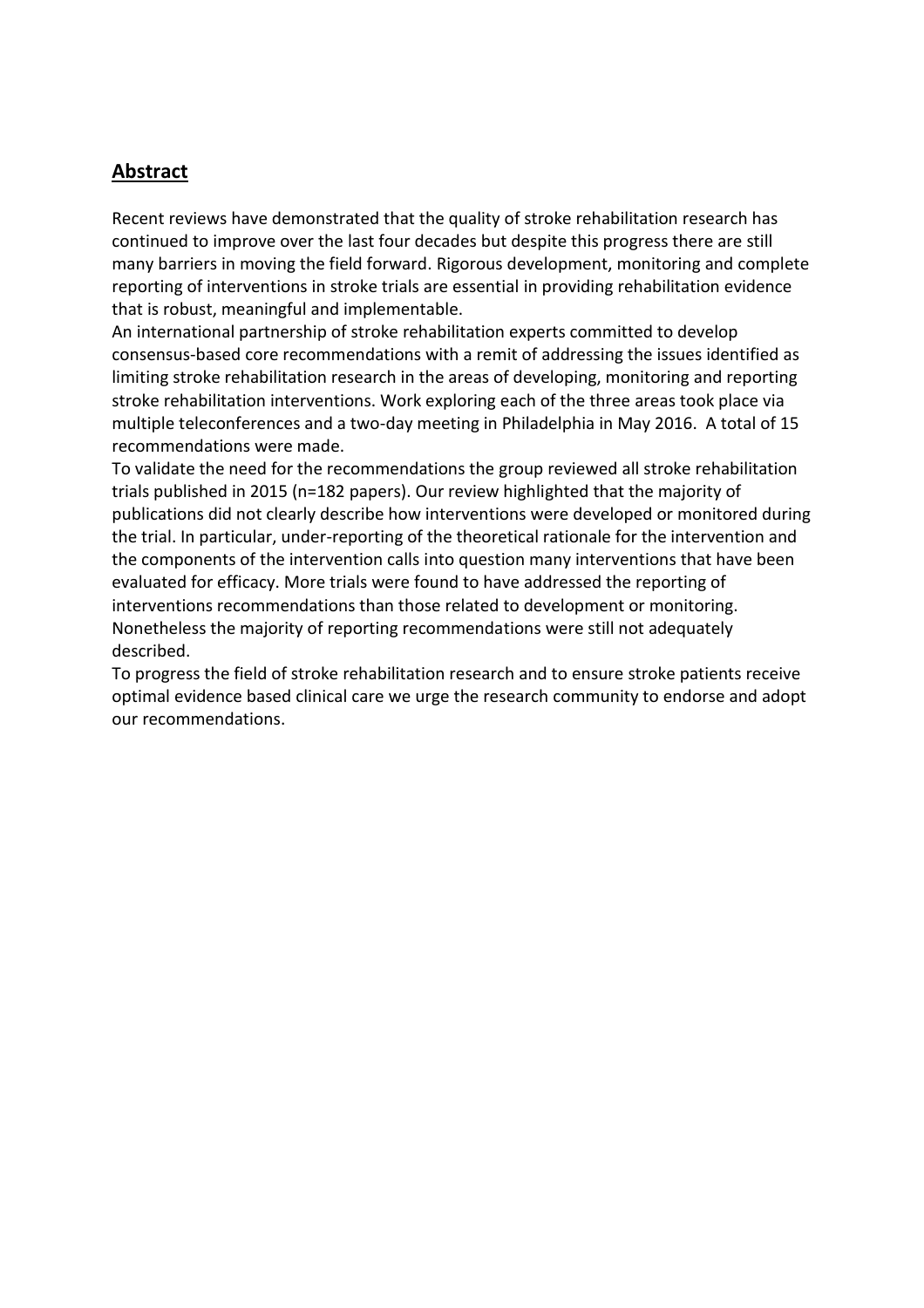# **Abstract**

Recent reviews have demonstrated that the quality of stroke rehabilitation research has continued to improve over the last four decades but despite this progress there are still many barriers in moving the field forward. Rigorous development, monitoring and complete reporting of interventions in stroke trials are essential in providing rehabilitation evidence that is robust, meaningful and implementable.

An international partnership of stroke rehabilitation experts committed to develop consensus-based core recommendations with a remit of addressing the issues identified as limiting stroke rehabilitation research in the areas of developing, monitoring and reporting stroke rehabilitation interventions. Work exploring each of the three areas took place via multiple teleconferences and a two-day meeting in Philadelphia in May 2016. A total of 15 recommendations were made.

To validate the need for the recommendations the group reviewed all stroke rehabilitation trials published in 2015 (n=182 papers). Our review highlighted that the majority of publications did not clearly describe how interventions were developed or monitored during the trial. In particular, under-reporting of the theoretical rationale for the intervention and the components of the intervention calls into question many interventions that have been evaluated for efficacy. More trials were found to have addressed the reporting of interventions recommendations than those related to development or monitoring. Nonetheless the majority of reporting recommendations were still not adequately described.

To progress the field of stroke rehabilitation research and to ensure stroke patients receive optimal evidence based clinical care we urge the research community to endorse and adopt our recommendations.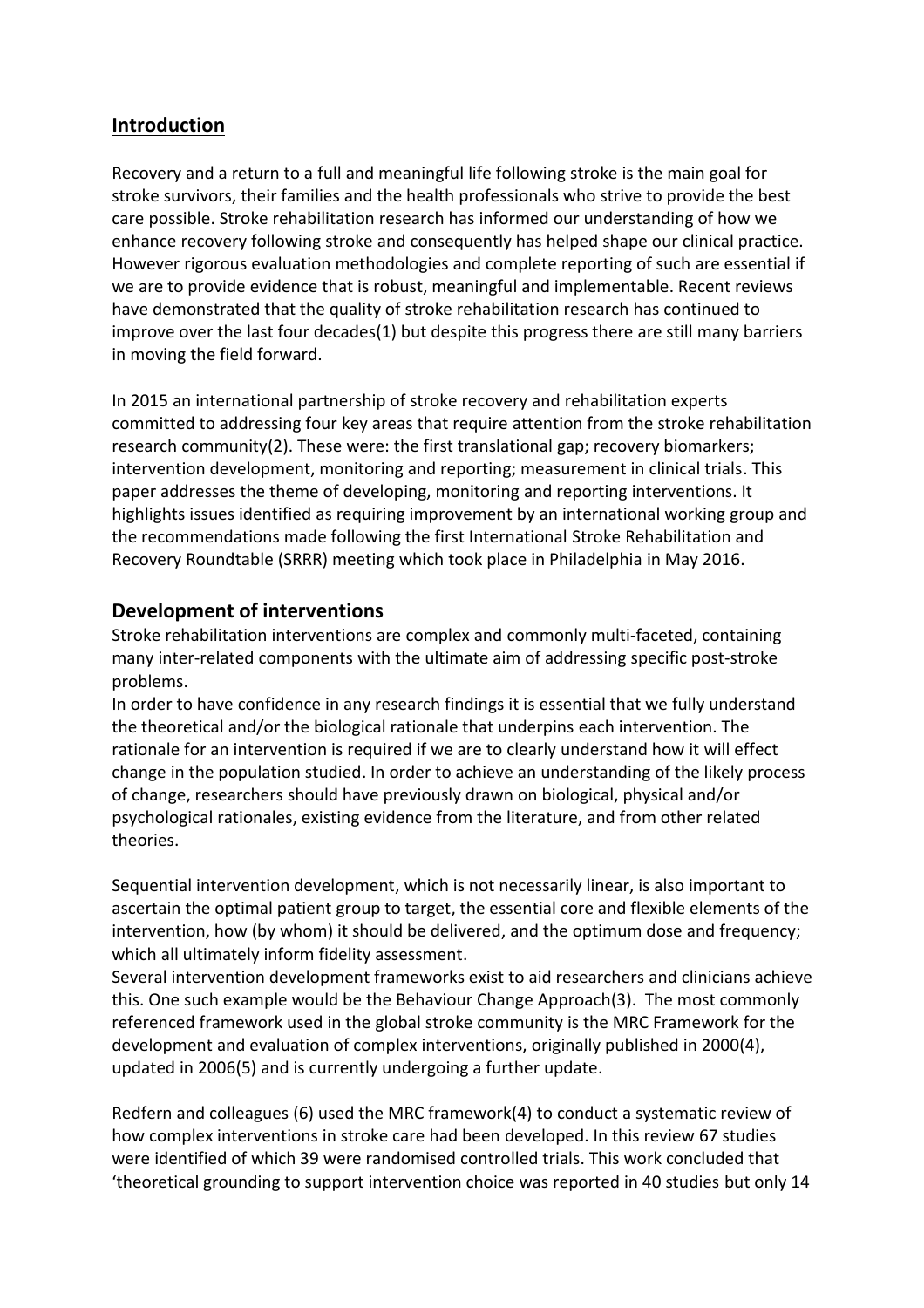### **Introduction**

Recovery and a return to a full and meaningful life following stroke is the main goal for stroke survivors, their families and the health professionals who strive to provide the best care possible. Stroke rehabilitation research has informed our understanding of how we enhance recovery following stroke and consequently has helped shape our clinical practice. However rigorous evaluation methodologies and complete reporting of such are essential if we are to provide evidence that is robust, meaningful and implementable. Recent reviews have demonstrated that the quality of stroke rehabilitation research has continued to improve over the last four decades(1) but despite this progress there are still many barriers in moving the field forward.

In 2015 an international partnership of stroke recovery and rehabilitation experts committed to addressing four key areas that require attention from the stroke rehabilitation research community(2). These were: the first translational gap; recovery biomarkers; intervention development, monitoring and reporting; measurement in clinical trials. This paper addresses the theme of developing, monitoring and reporting interventions. It highlights issues identified as requiring improvement by an international working group and the recommendations made following the first International Stroke Rehabilitation and Recovery Roundtable (SRRR) meeting which took place in Philadelphia in May 2016.

### **Development of interventions**

Stroke rehabilitation interventions are complex and commonly multi-faceted, containing many inter-related components with the ultimate aim of addressing specific post-stroke problems.

In order to have confidence in any research findings it is essential that we fully understand the theoretical and/or the biological rationale that underpins each intervention. The rationale for an intervention is required if we are to clearly understand how it will effect change in the population studied. In order to achieve an understanding of the likely process of change, researchers should have previously drawn on biological, physical and/or psychological rationales, existing evidence from the literature, and from other related theories.

Sequential intervention development, which is not necessarily linear, is also important to ascertain the optimal patient group to target, the essential core and flexible elements of the intervention, how (by whom) it should be delivered, and the optimum dose and frequency; which all ultimately inform fidelity assessment.

Several intervention development frameworks exist to aid researchers and clinicians achieve this. One such example would be the Behaviour Change Approach(3). The most commonly referenced framework used in the global stroke community is the MRC Framework for the development and evaluation of complex interventions, originally published in 2000(4), updated in 2006(5) and is currently undergoing a further update.

Redfern and colleagues (6) used the MRC framework(4) to conduct a systematic review of how complex interventions in stroke care had been developed. In this review 67 studies were identified of which 39 were randomised controlled trials. This work concluded that 'theoretical grounding to support intervention choice was reported in 40 studies but only 14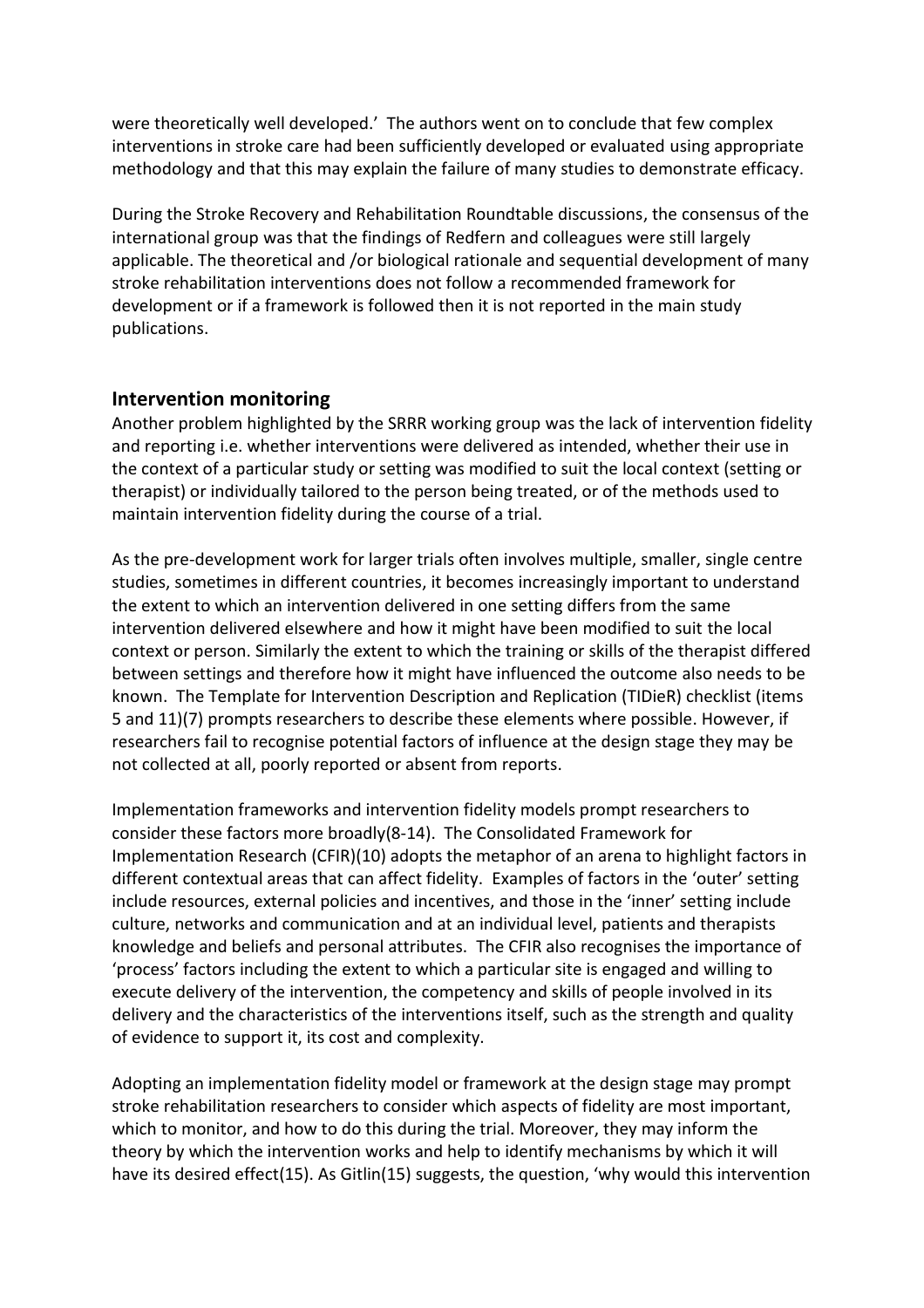were theoretically well developed.' The authors went on to conclude that few complex interventions in stroke care had been sufficiently developed or evaluated using appropriate methodology and that this may explain the failure of many studies to demonstrate efficacy.

During the Stroke Recovery and Rehabilitation Roundtable discussions, the consensus of the international group was that the findings of Redfern and colleagues were still largely applicable. The theoretical and /or biological rationale and sequential development of many stroke rehabilitation interventions does not follow a recommended framework for development or if a framework is followed then it is not reported in the main study publications.

### **Intervention monitoring**

Another problem highlighted by the SRRR working group was the lack of intervention fidelity and reporting i.e. whether interventions were delivered as intended, whether their use in the context of a particular study or setting was modified to suit the local context (setting or therapist) or individually tailored to the person being treated, or of the methods used to maintain intervention fidelity during the course of a trial.

As the pre-development work for larger trials often involves multiple, smaller, single centre studies, sometimes in different countries, it becomes increasingly important to understand the extent to which an intervention delivered in one setting differs from the same intervention delivered elsewhere and how it might have been modified to suit the local context or person. Similarly the extent to which the training or skills of the therapist differed between settings and therefore how it might have influenced the outcome also needs to be known. The Template for Intervention Description and Replication (TIDieR) checklist (items 5 and 11)(7) prompts researchers to describe these elements where possible. However, if researchers fail to recognise potential factors of influence at the design stage they may be not collected at all, poorly reported or absent from reports.

Implementation frameworks and intervention fidelity models prompt researchers to consider these factors more broadly(8-14). The Consolidated Framework for Implementation Research (CFIR)(10) adopts the metaphor of an arena to highlight factors in different contextual areas that can affect fidelity. Examples of factors in the 'outer' setting include resources, external policies and incentives, and those in the 'inner' setting include culture, networks and communication and at an individual level, patients and therapists knowledge and beliefs and personal attributes. The CFIR also recognises the importance of 'process' factors including the extent to which a particular site is engaged and willing to execute delivery of the intervention, the competency and skills of people involved in its delivery and the characteristics of the interventions itself, such as the strength and quality of evidence to support it, its cost and complexity.

Adopting an implementation fidelity model or framework at the design stage may prompt stroke rehabilitation researchers to consider which aspects of fidelity are most important, which to monitor, and how to do this during the trial. Moreover, they may inform the theory by which the intervention works and help to identify mechanisms by which it will have its desired effect(15). As Gitlin(15) suggests, the question, 'why would this intervention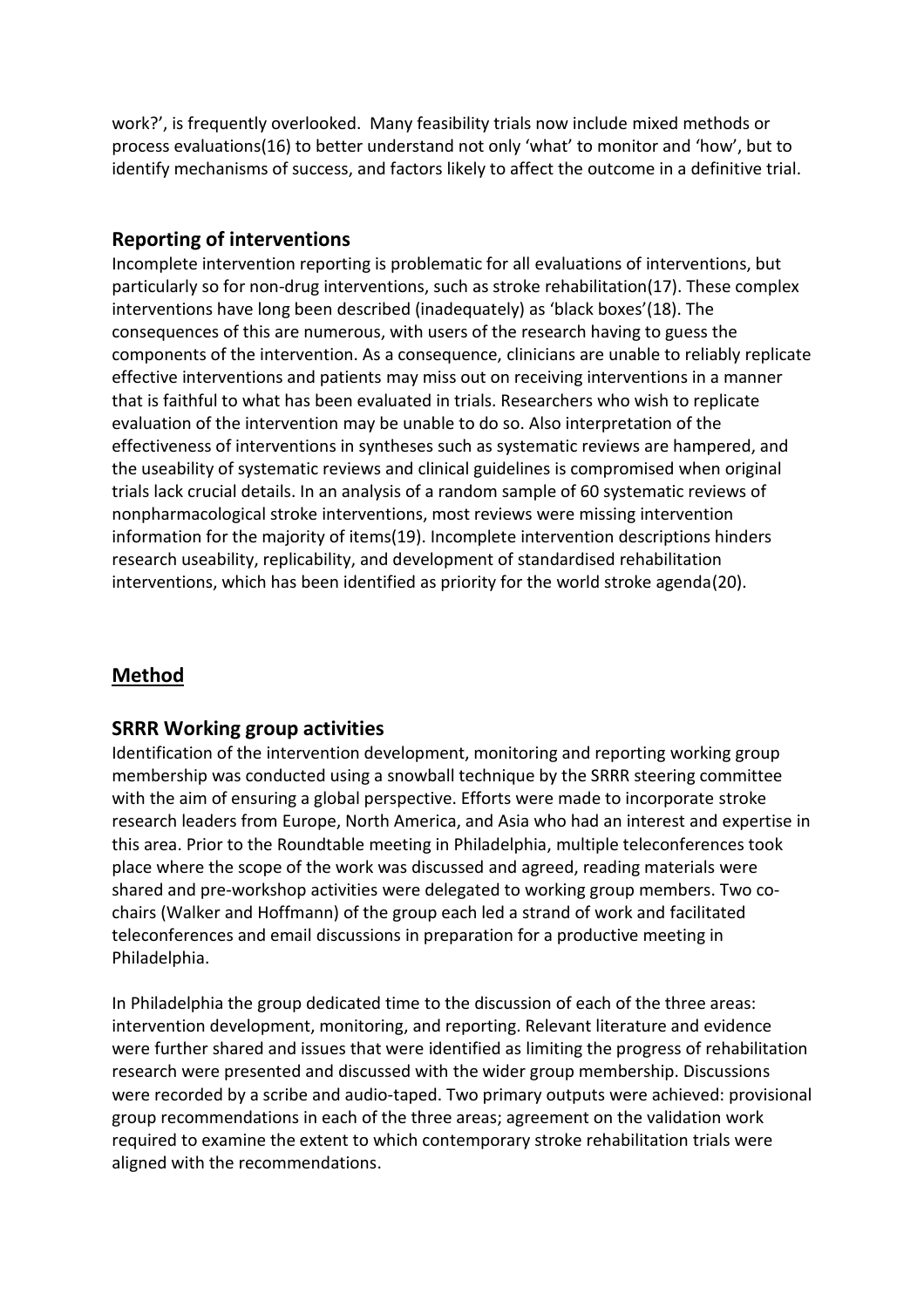work?', is frequently overlooked. Many feasibility trials now include mixed methods or process evaluations(16) to better understand not only 'what' to monitor and 'how', but to identify mechanisms of success, and factors likely to affect the outcome in a definitive trial.

### **Reporting of interventions**

Incomplete intervention reporting is problematic for all evaluations of interventions, but particularly so for non-drug interventions, such as stroke rehabilitation(17). These complex interventions have long been described (inadequately) as 'black boxes'(18). The consequences of this are numerous, with users of the research having to guess the components of the intervention. As a consequence, clinicians are unable to reliably replicate effective interventions and patients may miss out on receiving interventions in a manner that is faithful to what has been evaluated in trials. Researchers who wish to replicate evaluation of the intervention may be unable to do so. Also interpretation of the effectiveness of interventions in syntheses such as systematic reviews are hampered, and the useability of systematic reviews and clinical guidelines is compromised when original trials lack crucial details. In an analysis of a random sample of 60 systematic reviews of nonpharmacological stroke interventions, most reviews were missing intervention information for the majority of items(19). Incomplete intervention descriptions hinders research useability, replicability, and development of standardised rehabilitation interventions, which has been identified as priority for the world stroke agenda(20).

### **Method**

### **SRRR Working group activities**

Identification of the intervention development, monitoring and reporting working group membership was conducted using a snowball technique by the SRRR steering committee with the aim of ensuring a global perspective. Efforts were made to incorporate stroke research leaders from Europe, North America, and Asia who had an interest and expertise in this area. Prior to the Roundtable meeting in Philadelphia, multiple teleconferences took place where the scope of the work was discussed and agreed, reading materials were shared and pre-workshop activities were delegated to working group members. Two cochairs (Walker and Hoffmann) of the group each led a strand of work and facilitated teleconferences and email discussions in preparation for a productive meeting in Philadelphia.

In Philadelphia the group dedicated time to the discussion of each of the three areas: intervention development, monitoring, and reporting. Relevant literature and evidence were further shared and issues that were identified as limiting the progress of rehabilitation research were presented and discussed with the wider group membership. Discussions were recorded by a scribe and audio-taped. Two primary outputs were achieved: provisional group recommendations in each of the three areas; agreement on the validation work required to examine the extent to which contemporary stroke rehabilitation trials were aligned with the recommendations.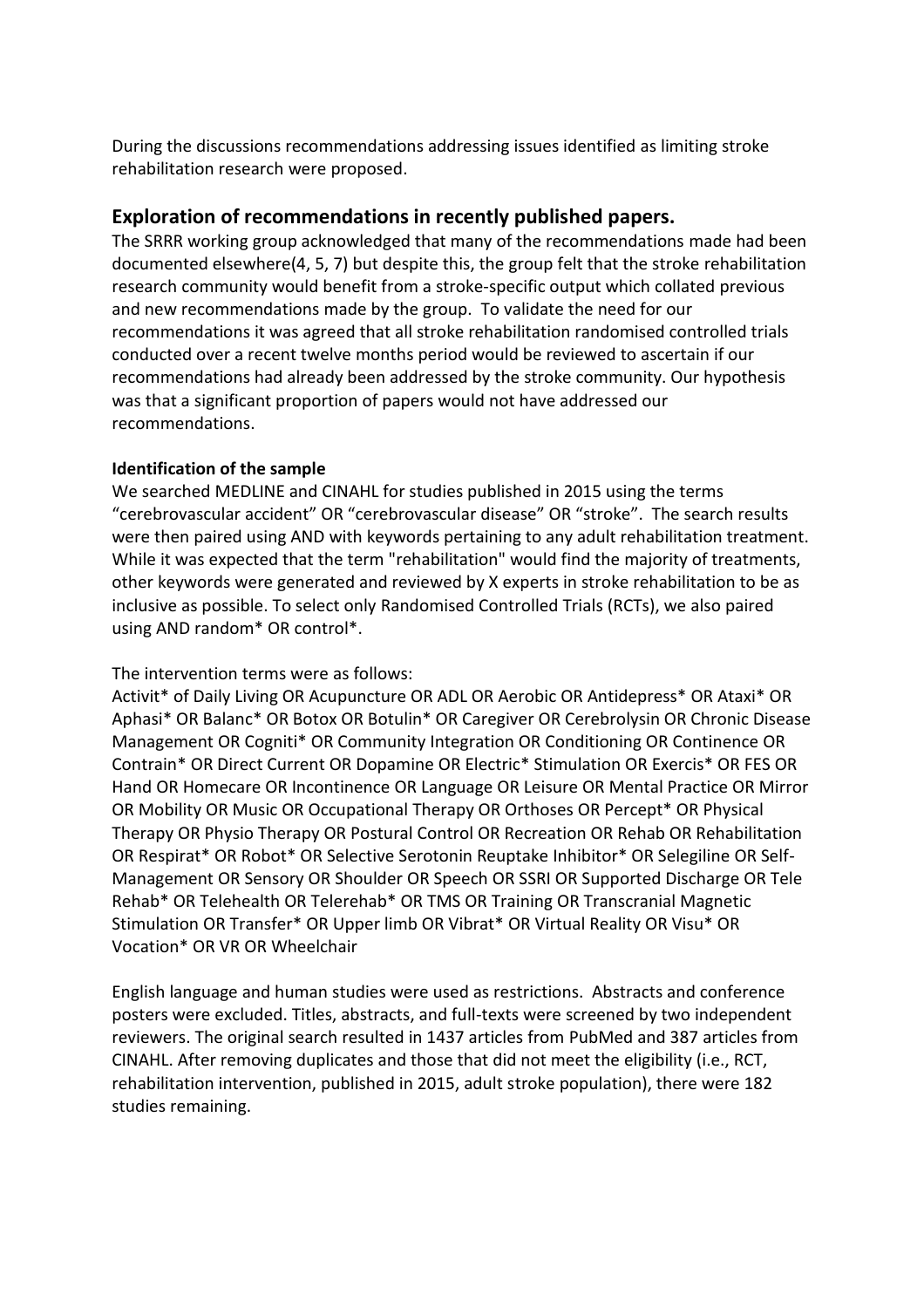During the discussions recommendations addressing issues identified as limiting stroke rehabilitation research were proposed.

### **Exploration of recommendations in recently published papers.**

The SRRR working group acknowledged that many of the recommendations made had been documented elsewhere(4, 5, 7) but despite this, the group felt that the stroke rehabilitation research community would benefit from a stroke-specific output which collated previous and new recommendations made by the group. To validate the need for our recommendations it was agreed that all stroke rehabilitation randomised controlled trials conducted over a recent twelve months period would be reviewed to ascertain if our recommendations had already been addressed by the stroke community. Our hypothesis was that a significant proportion of papers would not have addressed our recommendations.

#### **Identification of the sample**

We searched MEDLINE and CINAHL for studies published in 2015 using the terms "cerebrovascular accident" OR "cerebrovascular disease" OR "stroke". The search results were then paired using AND with keywords pertaining to any adult rehabilitation treatment. While it was expected that the term "rehabilitation" would find the majority of treatments, other keywords were generated and reviewed by X experts in stroke rehabilitation to be as inclusive as possible. To select only Randomised Controlled Trials (RCTs), we also paired using AND random\* OR control\*.

The intervention terms were as follows:

Activit\* of Daily Living OR Acupuncture OR ADL OR Aerobic OR Antidepress\* OR Ataxi\* OR Aphasi\* OR Balanc\* OR Botox OR Botulin\* OR Caregiver OR Cerebrolysin OR Chronic Disease Management OR Cogniti\* OR Community Integration OR Conditioning OR Continence OR Contrain\* OR Direct Current OR Dopamine OR Electric\* Stimulation OR Exercis\* OR FES OR Hand OR Homecare OR Incontinence OR Language OR Leisure OR Mental Practice OR Mirror OR Mobility OR Music OR Occupational Therapy OR Orthoses OR Percept\* OR Physical Therapy OR Physio Therapy OR Postural Control OR Recreation OR Rehab OR Rehabilitation OR Respirat\* OR Robot\* OR Selective Serotonin Reuptake Inhibitor\* OR Selegiline OR Self-Management OR Sensory OR Shoulder OR Speech OR SSRI OR Supported Discharge OR Tele Rehab\* OR Telehealth OR Telerehab\* OR TMS OR Training OR Transcranial Magnetic Stimulation OR Transfer\* OR Upper limb OR Vibrat\* OR Virtual Reality OR Visu\* OR Vocation\* OR VR OR Wheelchair

English language and human studies were used as restrictions. Abstracts and conference posters were excluded. Titles, abstracts, and full-texts were screened by two independent reviewers. The original search resulted in 1437 articles from PubMed and 387 articles from CINAHL. After removing duplicates and those that did not meet the eligibility (i.e., RCT, rehabilitation intervention, published in 2015, adult stroke population), there were 182 studies remaining.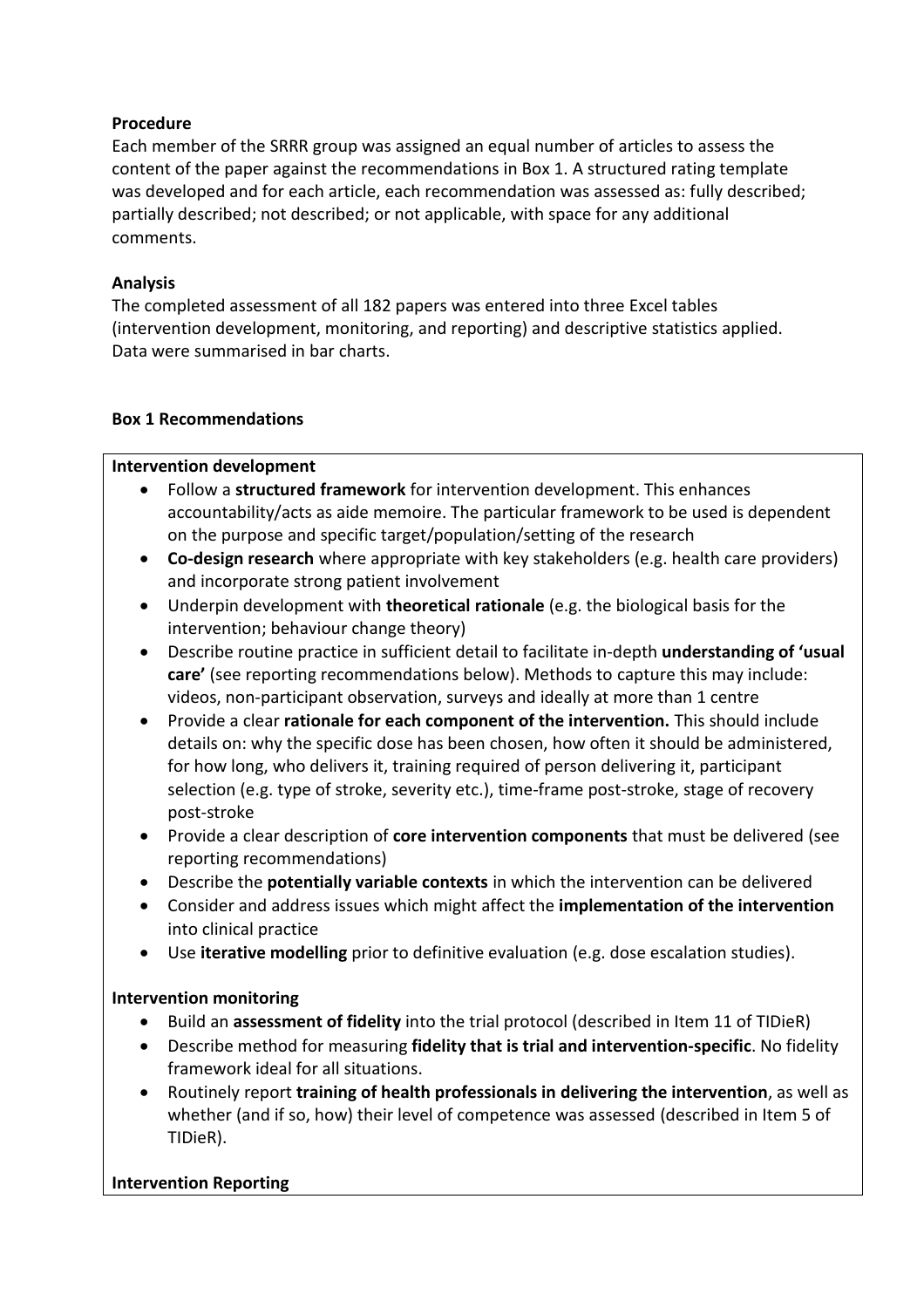### **Procedure**

Each member of the SRRR group was assigned an equal number of articles to assess the content of the paper against the recommendations in Box 1. A structured rating template was developed and for each article, each recommendation was assessed as: fully described; partially described; not described; or not applicable, with space for any additional comments.

#### **Analysis**

The completed assessment of all 182 papers was entered into three Excel tables (intervention development, monitoring, and reporting) and descriptive statistics applied. Data were summarised in bar charts.

#### **Box 1 Recommendations**

#### **Intervention development**

- Follow a **structured framework** for intervention development. This enhances accountability/acts as aide memoire. The particular framework to be used is dependent on the purpose and specific target/population/setting of the research
- **Co-design research** where appropriate with key stakeholders (e.g. health care providers) and incorporate strong patient involvement
- Underpin development with **theoretical rationale** (e.g. the biological basis for the intervention; behaviour change theory)
- Describe routine practice in sufficient detail to facilitate in-depth **understanding of 'usual care'** (see reporting recommendations below). Methods to capture this may include: videos, non-participant observation, surveys and ideally at more than 1 centre
- Provide a clear **rationale for each component of the intervention.** This should include details on: why the specific dose has been chosen, how often it should be administered, for how long, who delivers it, training required of person delivering it, participant selection (e.g. type of stroke, severity etc.), time-frame post-stroke, stage of recovery post-stroke
- Provide a clear description of **core intervention components** that must be delivered (see reporting recommendations)
- Describe the **potentially variable contexts** in which the intervention can be delivered
- Consider and address issues which might affect the **implementation of the intervention** into clinical practice
- Use **iterative modelling** prior to definitive evaluation (e.g. dose escalation studies).

### **Intervention monitoring**

- Build an **assessment of fidelity** into the trial protocol (described in Item 11 of TIDieR)
- Describe method for measuring **fidelity that is trial and intervention-specific**. No fidelity framework ideal for all situations.
- Routinely report **training of health professionals in delivering the intervention**, as well as whether (and if so, how) their level of competence was assessed (described in Item 5 of TIDieR).

### **Intervention Reporting**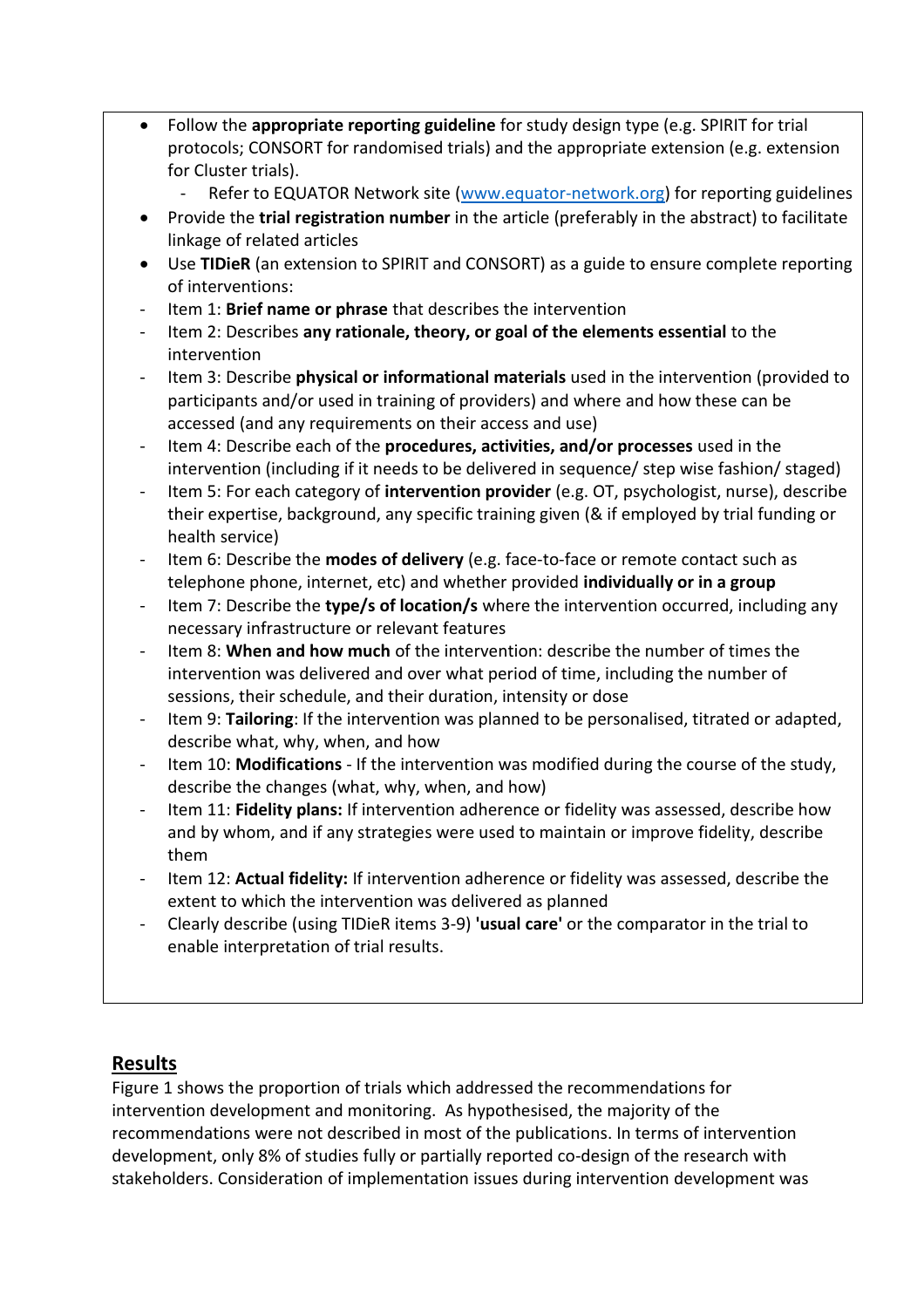- Follow the **appropriate reporting guideline** for study design type (e.g. SPIRIT for trial protocols; CONSORT for randomised trials) and the appropriate extension (e.g. extension for Cluster trials).
	- Refer to EQUATOR Network site [\(www.equator-network.org\)](http://www.equator-network.org/) for reporting guidelines
- Provide the **trial registration number** in the article (preferably in the abstract) to facilitate linkage of related articles
- Use **TIDieR** (an extension to SPIRIT and CONSORT) as a guide to ensure complete reporting of interventions:
- Item 1: **Brief name or phrase** that describes the intervention
- Item 2: Describes **any rationale, theory, or goal of the elements essential** to the intervention
- Item 3: Describe **physical or informational materials** used in the intervention (provided to participants and/or used in training of providers) and where and how these can be accessed (and any requirements on their access and use)
- Item 4: Describe each of the **procedures, activities, and/or processes** used in the intervention (including if it needs to be delivered in sequence/ step wise fashion/ staged)
- Item 5: For each category of **intervention provider** (e.g. OT, psychologist, nurse), describe their expertise, background, any specific training given (& if employed by trial funding or health service)
- Item 6: Describe the **modes of delivery** (e.g. face-to-face or remote contact such as telephone phone, internet, etc) and whether provided **individually or in a group**
- Item 7: Describe the **type/s of location/s** where the intervention occurred, including any necessary infrastructure or relevant features
- Item 8: **When and how much** of the intervention: describe the number of times the intervention was delivered and over what period of time, including the number of sessions, their schedule, and their duration, intensity or dose
- Item 9: **Tailoring**: If the intervention was planned to be personalised, titrated or adapted, describe what, why, when, and how
- Item 10: **Modifications** If the intervention was modified during the course of the study, describe the changes (what, why, when, and how)
- Item 11: **Fidelity plans:** If intervention adherence or fidelity was assessed, describe how and by whom, and if any strategies were used to maintain or improve fidelity, describe them
- Item 12: **Actual fidelity:** If intervention adherence or fidelity was assessed, describe the extent to which the intervention was delivered as planned
- Clearly describe (using TIDieR items 3-9) **'usual care'** or the comparator in the trial to enable interpretation of trial results.

# **Results**

Figure 1 shows the proportion of trials which addressed the recommendations for intervention development and monitoring. As hypothesised, the majority of the recommendations were not described in most of the publications. In terms of intervention development, only 8% of studies fully or partially reported co-design of the research with stakeholders. Consideration of implementation issues during intervention development was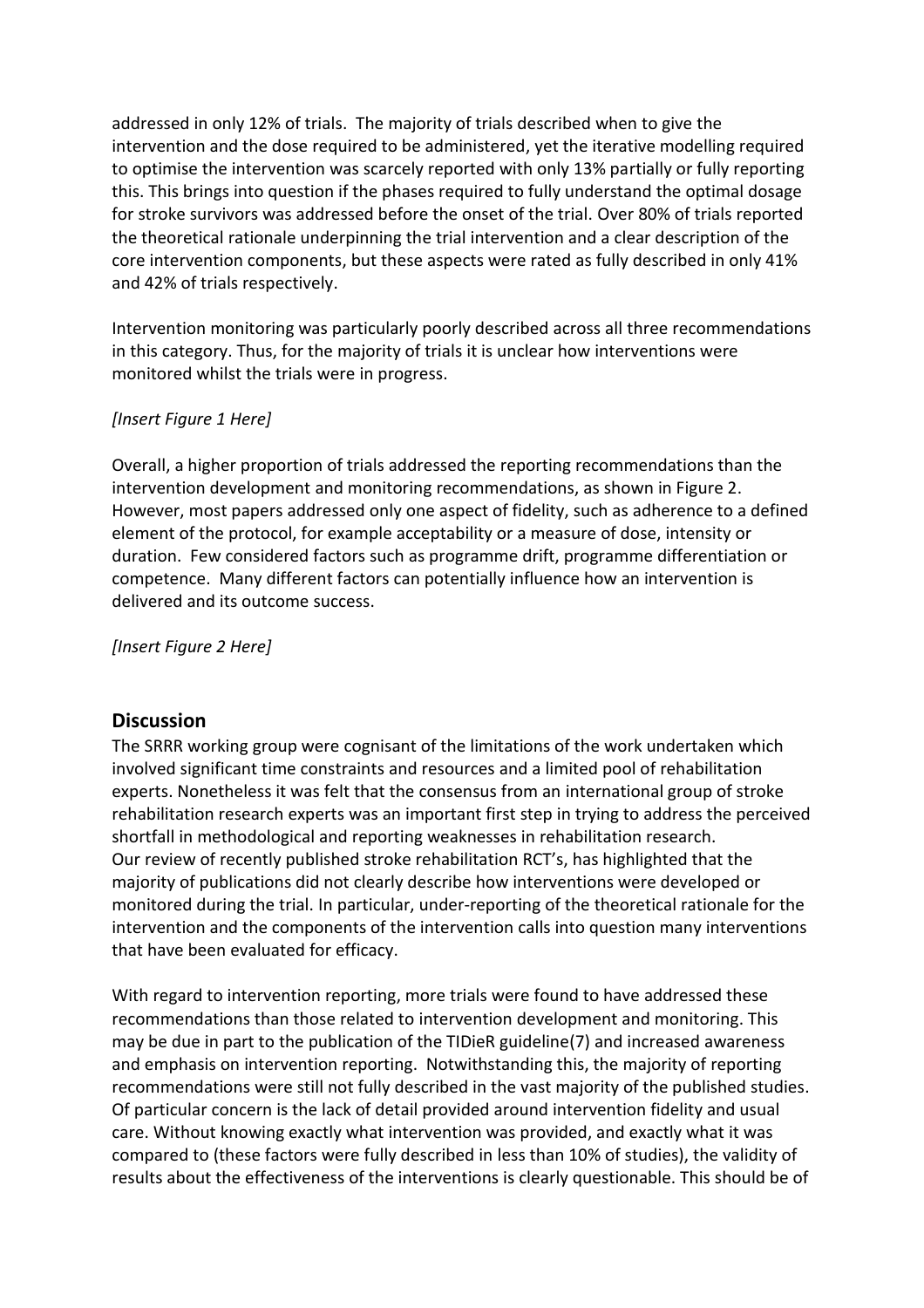addressed in only 12% of trials. The majority of trials described when to give the intervention and the dose required to be administered, yet the iterative modelling required to optimise the intervention was scarcely reported with only 13% partially or fully reporting this. This brings into question if the phases required to fully understand the optimal dosage for stroke survivors was addressed before the onset of the trial. Over 80% of trials reported the theoretical rationale underpinning the trial intervention and a clear description of the core intervention components, but these aspects were rated as fully described in only 41% and 42% of trials respectively.

Intervention monitoring was particularly poorly described across all three recommendations in this category. Thus, for the majority of trials it is unclear how interventions were monitored whilst the trials were in progress.

### *[Insert Figure 1 Here]*

Overall, a higher proportion of trials addressed the reporting recommendations than the intervention development and monitoring recommendations, as shown in Figure 2. However, most papers addressed only one aspect of fidelity, such as adherence to a defined element of the protocol, for example acceptability or a measure of dose, intensity or duration. Few considered factors such as programme drift, programme differentiation or competence. Many different factors can potentially influence how an intervention is delivered and its outcome success.

*[Insert Figure 2 Here]*

### **Discussion**

The SRRR working group were cognisant of the limitations of the work undertaken which involved significant time constraints and resources and a limited pool of rehabilitation experts. Nonetheless it was felt that the consensus from an international group of stroke rehabilitation research experts was an important first step in trying to address the perceived shortfall in methodological and reporting weaknesses in rehabilitation research. Our review of recently published stroke rehabilitation RCT's, has highlighted that the majority of publications did not clearly describe how interventions were developed or monitored during the trial. In particular, under-reporting of the theoretical rationale for the intervention and the components of the intervention calls into question many interventions that have been evaluated for efficacy.

With regard to intervention reporting, more trials were found to have addressed these recommendations than those related to intervention development and monitoring. This may be due in part to the publication of the TIDieR guideline(7) and increased awareness and emphasis on intervention reporting. Notwithstanding this, the majority of reporting recommendations were still not fully described in the vast majority of the published studies. Of particular concern is the lack of detail provided around intervention fidelity and usual care. Without knowing exactly what intervention was provided, and exactly what it was compared to (these factors were fully described in less than 10% of studies), the validity of results about the effectiveness of the interventions is clearly questionable. This should be of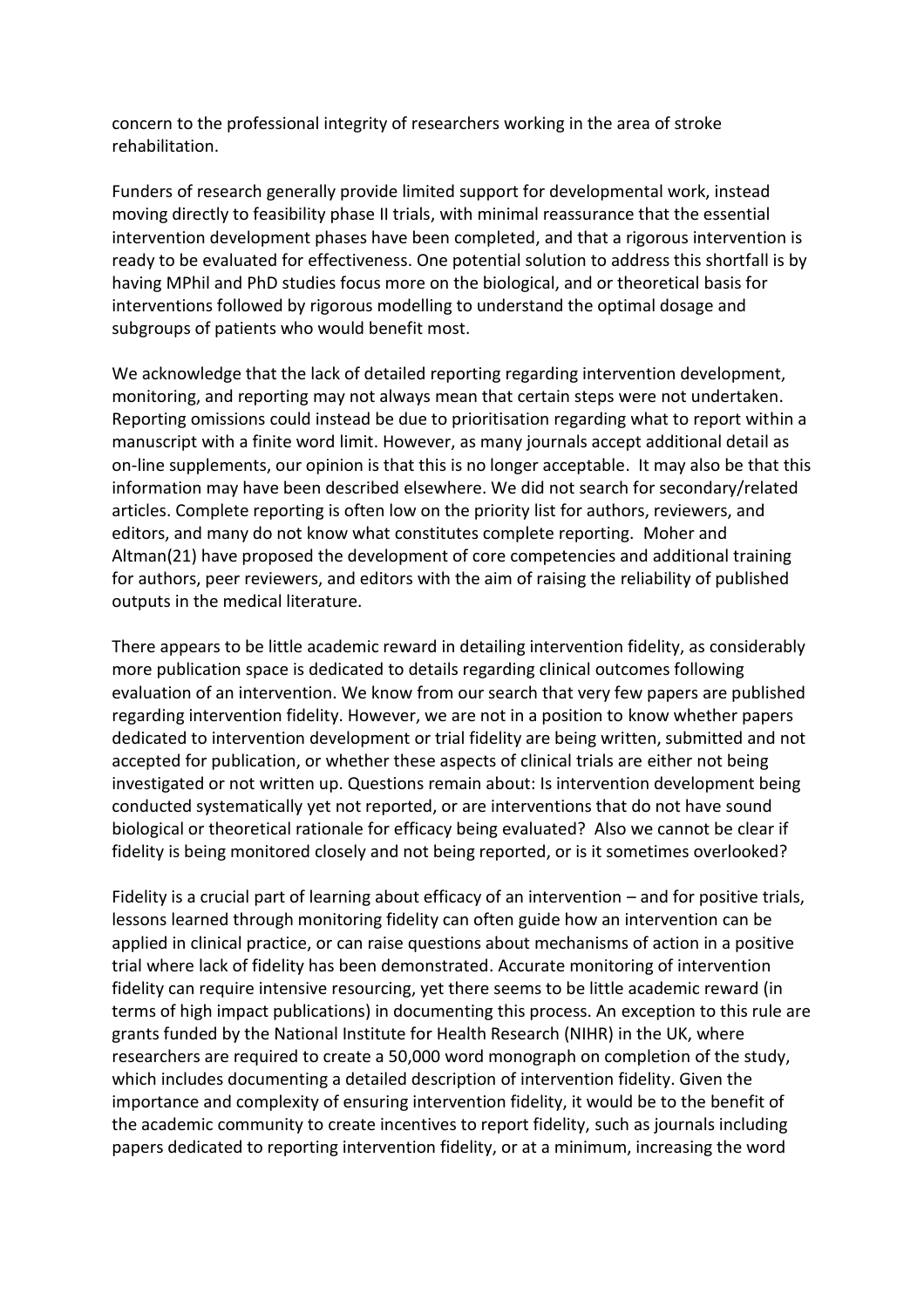concern to the professional integrity of researchers working in the area of stroke rehabilitation.

Funders of research generally provide limited support for developmental work, instead moving directly to feasibility phase II trials, with minimal reassurance that the essential intervention development phases have been completed, and that a rigorous intervention is ready to be evaluated for effectiveness. One potential solution to address this shortfall is by having MPhil and PhD studies focus more on the biological, and or theoretical basis for interventions followed by rigorous modelling to understand the optimal dosage and subgroups of patients who would benefit most.

We acknowledge that the lack of detailed reporting regarding intervention development, monitoring, and reporting may not always mean that certain steps were not undertaken. Reporting omissions could instead be due to prioritisation regarding what to report within a manuscript with a finite word limit. However, as many journals accept additional detail as on-line supplements, our opinion is that this is no longer acceptable. It may also be that this information may have been described elsewhere. We did not search for secondary/related articles. Complete reporting is often low on the priority list for authors, reviewers, and editors, and many do not know what constitutes complete reporting. Moher and Altman(21) have proposed the development of core competencies and additional training for authors, peer reviewers, and editors with the aim of raising the reliability of published outputs in the medical literature.

There appears to be little academic reward in detailing intervention fidelity, as considerably more publication space is dedicated to details regarding clinical outcomes following evaluation of an intervention. We know from our search that very few papers are published regarding intervention fidelity. However, we are not in a position to know whether papers dedicated to intervention development or trial fidelity are being written, submitted and not accepted for publication, or whether these aspects of clinical trials are either not being investigated or not written up. Questions remain about: Is intervention development being conducted systematically yet not reported, or are interventions that do not have sound biological or theoretical rationale for efficacy being evaluated? Also we cannot be clear if fidelity is being monitored closely and not being reported, or is it sometimes overlooked?

Fidelity is a crucial part of learning about efficacy of an intervention – and for positive trials, lessons learned through monitoring fidelity can often guide how an intervention can be applied in clinical practice, or can raise questions about mechanisms of action in a positive trial where lack of fidelity has been demonstrated. Accurate monitoring of intervention fidelity can require intensive resourcing, yet there seems to be little academic reward (in terms of high impact publications) in documenting this process. An exception to this rule are grants funded by the National Institute for Health Research (NIHR) in the UK, where researchers are required to create a 50,000 word monograph on completion of the study, which includes documenting a detailed description of intervention fidelity. Given the importance and complexity of ensuring intervention fidelity, it would be to the benefit of the academic community to create incentives to report fidelity, such as journals including papers dedicated to reporting intervention fidelity, or at a minimum, increasing the word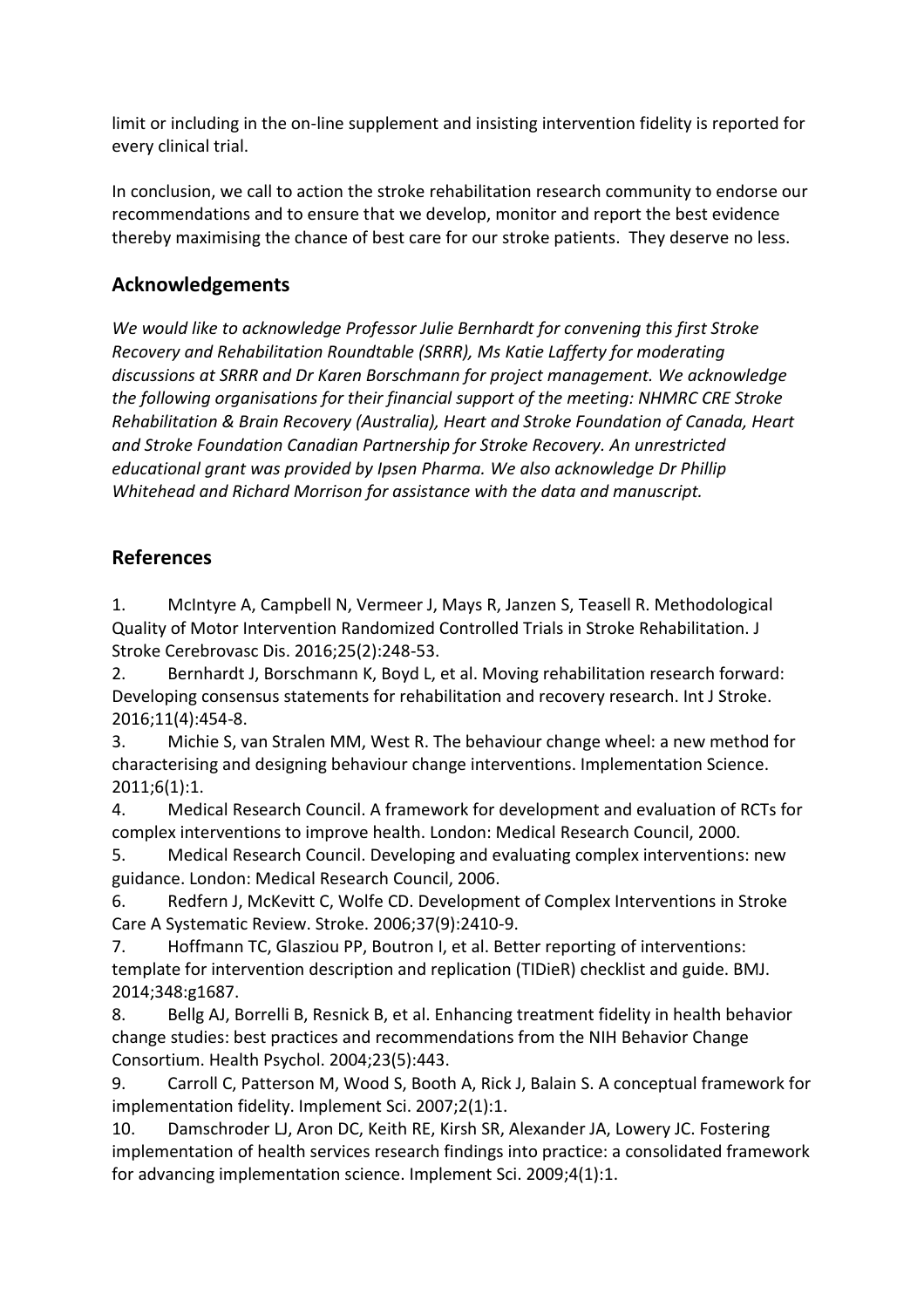limit or including in the on-line supplement and insisting intervention fidelity is reported for every clinical trial.

In conclusion, we call to action the stroke rehabilitation research community to endorse our recommendations and to ensure that we develop, monitor and report the best evidence thereby maximising the chance of best care for our stroke patients. They deserve no less.

# **Acknowledgements**

*We would like to acknowledge Professor Julie Bernhardt for convening this first Stroke Recovery and Rehabilitation Roundtable (SRRR), Ms Katie Lafferty for moderating discussions at SRRR and Dr Karen Borschmann for project management. We acknowledge the following organisations for their financial support of the meeting: NHMRC CRE Stroke Rehabilitation & Brain Recovery (Australia), Heart and Stroke Foundation of Canada, Heart and Stroke Foundation Canadian Partnership for Stroke Recovery. An unrestricted educational grant was provided by Ipsen Pharma. We also acknowledge Dr Phillip Whitehead and Richard Morrison for assistance with the data and manuscript.*

# **References**

1. McIntyre A, Campbell N, Vermeer J, Mays R, Janzen S, Teasell R. Methodological Quality of Motor Intervention Randomized Controlled Trials in Stroke Rehabilitation. J Stroke Cerebrovasc Dis. 2016;25(2):248-53.

2. Bernhardt J, Borschmann K, Boyd L, et al. Moving rehabilitation research forward: Developing consensus statements for rehabilitation and recovery research. Int J Stroke. 2016;11(4):454-8.

3. Michie S, van Stralen MM, West R. The behaviour change wheel: a new method for characterising and designing behaviour change interventions. Implementation Science. 2011;6(1):1.

4. Medical Research Council. A framework for development and evaluation of RCTs for complex interventions to improve health. London: Medical Research Council, 2000.

5. Medical Research Council. Developing and evaluating complex interventions: new guidance. London: Medical Research Council, 2006.

6. Redfern J, McKevitt C, Wolfe CD. Development of Complex Interventions in Stroke Care A Systematic Review. Stroke. 2006;37(9):2410-9.

7. Hoffmann TC, Glasziou PP, Boutron I, et al. Better reporting of interventions: template for intervention description and replication (TIDieR) checklist and guide. BMJ. 2014;348:g1687.

8. Bellg AJ, Borrelli B, Resnick B, et al. Enhancing treatment fidelity in health behavior change studies: best practices and recommendations from the NIH Behavior Change Consortium. Health Psychol. 2004;23(5):443.

9. Carroll C, Patterson M, Wood S, Booth A, Rick J, Balain S. A conceptual framework for implementation fidelity. Implement Sci. 2007;2(1):1.

10. Damschroder LJ, Aron DC, Keith RE, Kirsh SR, Alexander JA, Lowery JC. Fostering implementation of health services research findings into practice: a consolidated framework for advancing implementation science. Implement Sci. 2009;4(1):1.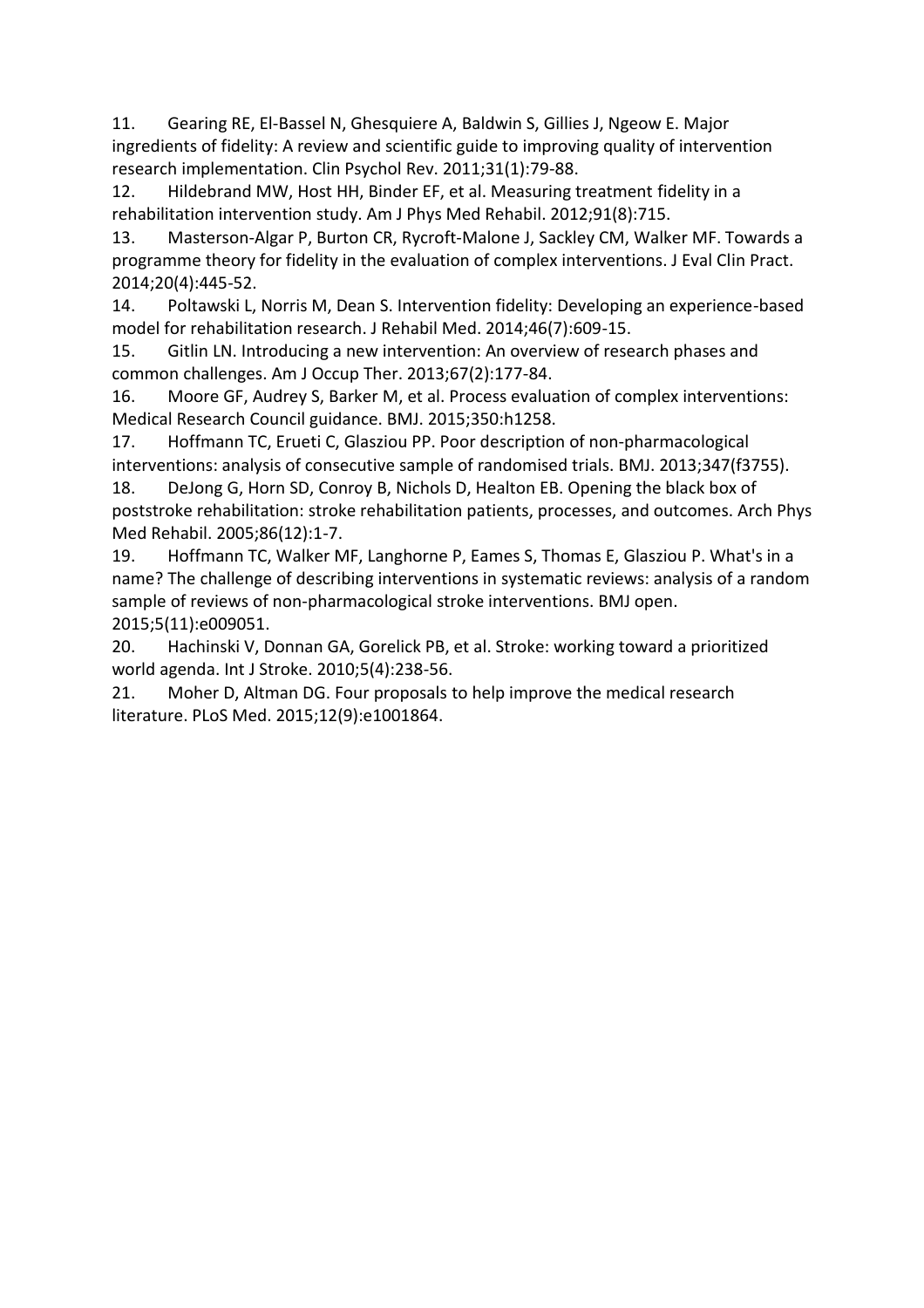11. Gearing RE, El-Bassel N, Ghesquiere A, Baldwin S, Gillies J, Ngeow E. Major ingredients of fidelity: A review and scientific guide to improving quality of intervention research implementation. Clin Psychol Rev. 2011;31(1):79-88.

12. Hildebrand MW, Host HH, Binder EF, et al. Measuring treatment fidelity in a rehabilitation intervention study. Am J Phys Med Rehabil. 2012;91(8):715.

13. Masterson-Algar P, Burton CR, Rycroft-Malone J, Sackley CM, Walker MF. Towards a programme theory for fidelity in the evaluation of complex interventions. J Eval Clin Pract. 2014;20(4):445-52.

14. Poltawski L, Norris M, Dean S. Intervention fidelity: Developing an experience-based model for rehabilitation research. J Rehabil Med. 2014;46(7):609-15.

15. Gitlin LN. Introducing a new intervention: An overview of research phases and common challenges. Am J Occup Ther. 2013;67(2):177-84.

16. Moore GF, Audrey S, Barker M, et al. Process evaluation of complex interventions: Medical Research Council guidance. BMJ. 2015;350:h1258.

17. Hoffmann TC, Erueti C, Glasziou PP. Poor description of non-pharmacological interventions: analysis of consecutive sample of randomised trials. BMJ. 2013;347(f3755).

18. DeJong G, Horn SD, Conroy B, Nichols D, Healton EB. Opening the black box of poststroke rehabilitation: stroke rehabilitation patients, processes, and outcomes. Arch Phys Med Rehabil. 2005;86(12):1-7.

19. Hoffmann TC, Walker MF, Langhorne P, Eames S, Thomas E, Glasziou P. What's in a name? The challenge of describing interventions in systematic reviews: analysis of a random sample of reviews of non-pharmacological stroke interventions. BMJ open. 2015;5(11):e009051.

20. Hachinski V, Donnan GA, Gorelick PB, et al. Stroke: working toward a prioritized world agenda. Int J Stroke. 2010;5(4):238-56.

21. Moher D, Altman DG. Four proposals to help improve the medical research literature. PLoS Med. 2015;12(9):e1001864.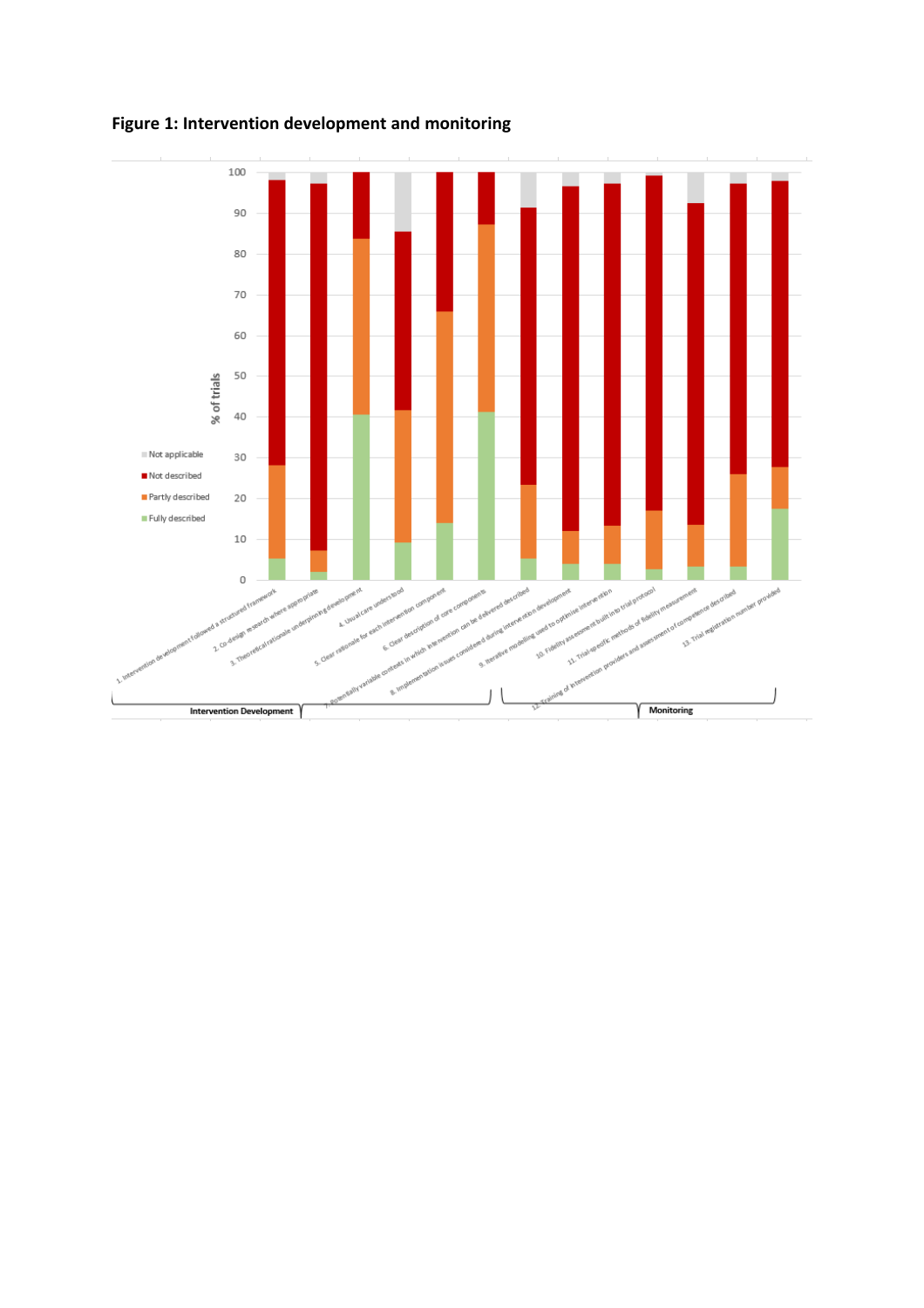

# **Figure 1: Intervention development and monitoring**